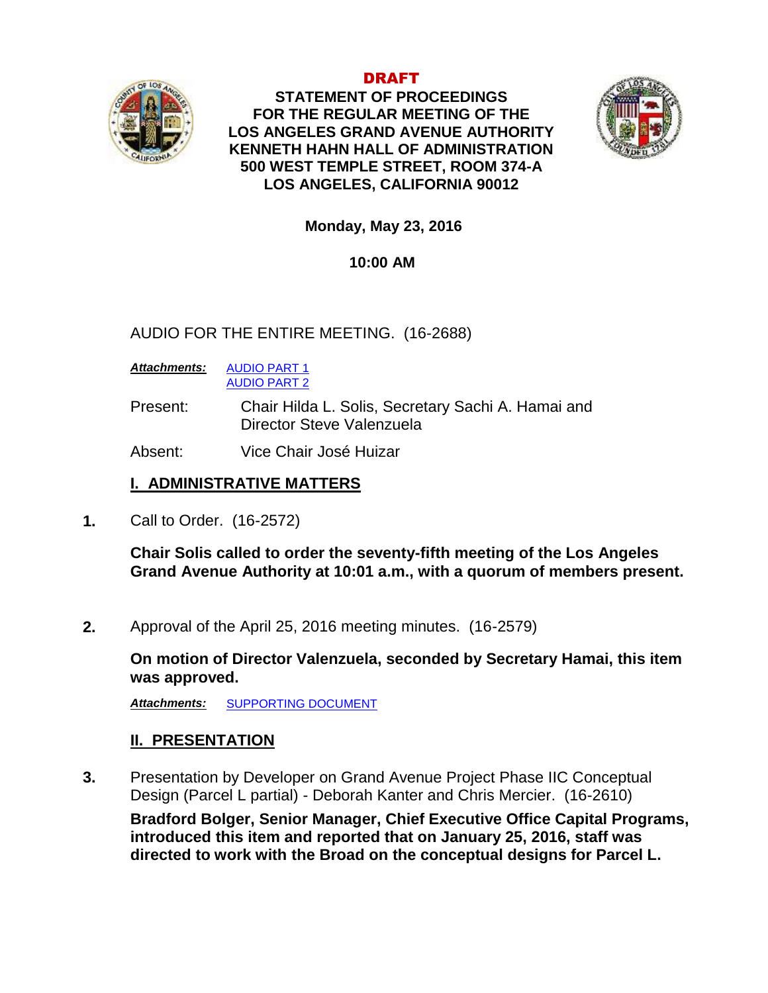

DRAFT **STATEMENT OF PROCEEDINGS FOR THE REGULAR MEETING OF THE LOS ANGELES GRAND AVENUE AUTHORITY KENNETH HAHN HALL OF ADMINISTRATION 500 WEST TEMPLE STREET, ROOM 374-A LOS ANGELES, CALIFORNIA 90012**



**Monday, May 23, 2016**

## **10:00 AM**

AUDIO FOR THE ENTIRE MEETING. (16-2688)

*Attachments:* [AUDIO PART 1](http://lacounty.govwebcast.com/Presentation/LACounty/56597921-f9a1-484b-8126-2510d4097edd/2016-5-23%20GAA%20Part%201.mp3) [AUDIO PART 2](http://lacounty.govwebcast.com/Presentation/LACounty/31ce423c-2b0f-4b90-8de9-3611cb3ced60/2016-5-23%20GAA%20Part%202.MP3)

Present: Chair Hilda L. Solis, Secretary Sachi A. Hamai and Director Steve Valenzuela

Absent: Vice Chair José Huizar

# **I. ADMINISTRATIVE MATTERS**

**1.** Call to Order. (16-2572)

**Chair Solis called to order the seventy-fifth meeting of the Los Angeles Grand Avenue Authority at 10:01 a.m., with a quorum of members present.**

**2.** Approval of the April 25, 2016 meeting minutes. (16-2579)

**On motion of Director Valenzuela, seconded by Secretary Hamai, this item was approved.**

*Attachments:* [SUPPORTING DOCUMENT](http://file.lacounty.gov/bos/supdocs/103968.pdf)

# **II. PRESENTATION**

**3.** Presentation by Developer on Grand Avenue Project Phase IIC Conceptual Design (Parcel L partial) - Deborah Kanter and Chris Mercier. (16-2610)

**Bradford Bolger, Senior Manager, Chief Executive Office Capital Programs, introduced this item and reported that on January 25, 2016, staff was directed to work with the Broad on the conceptual designs for Parcel L.**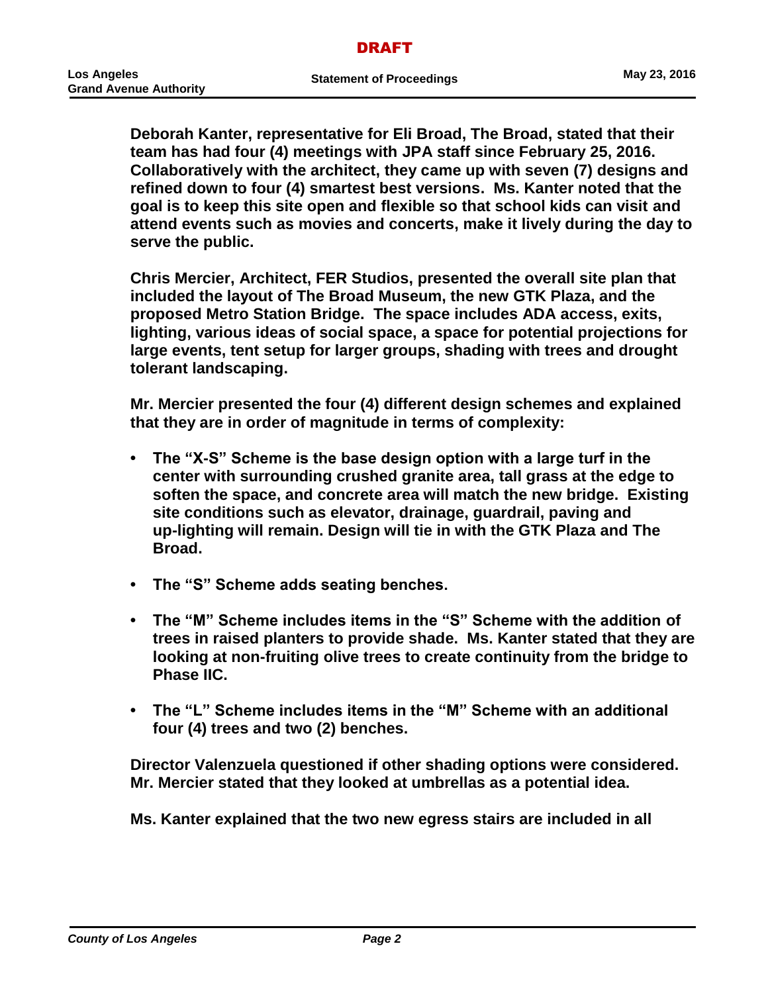**Deborah Kanter, representative for Eli Broad, The Broad, stated that their team has had four (4) meetings with JPA staff since February 25, 2016. Collaboratively with the architect, they came up with seven (7) designs and refined down to four (4) smartest best versions. Ms. Kanter noted that the goal is to keep this site open and flexible so that school kids can visit and attend events such as movies and concerts, make it lively during the day to serve the public.** 

**Chris Mercier, Architect, FER Studios, presented the overall site plan that included the layout of The Broad Museum, the new GTK Plaza, and the proposed Metro Station Bridge. The space includes ADA access, exits, lighting, various ideas of social space, a space for potential projections for large events, tent setup for larger groups, shading with trees and drought tolerant landscaping.**

**Mr. Mercier presented the four (4) different design schemes and explained that they are in order of magnitude in terms of complexity:** 

- **• The "X-S" Scheme is the base design option with a large turf in the center with surrounding crushed granite area, tall grass at the edge to soften the space, and concrete area will match the new bridge. Existing site conditions such as elevator, drainage, guardrail, paving and up-lighting will remain. Design will tie in with the GTK Plaza and The Broad.**
- **• The "S" Scheme adds seating benches.**
- **• The "M" Scheme includes items in the "S" Scheme with the addition of trees in raised planters to provide shade. Ms. Kanter stated that they are looking at non-fruiting olive trees to create continuity from the bridge to Phase IIC.**
- **• The "L" Scheme includes items in the "M" Scheme with an additional four (4) trees and two (2) benches.**

**Director Valenzuela questioned if other shading options were considered. Mr. Mercier stated that they looked at umbrellas as a potential idea.**

**Ms. Kanter explained that the two new egress stairs are included in all**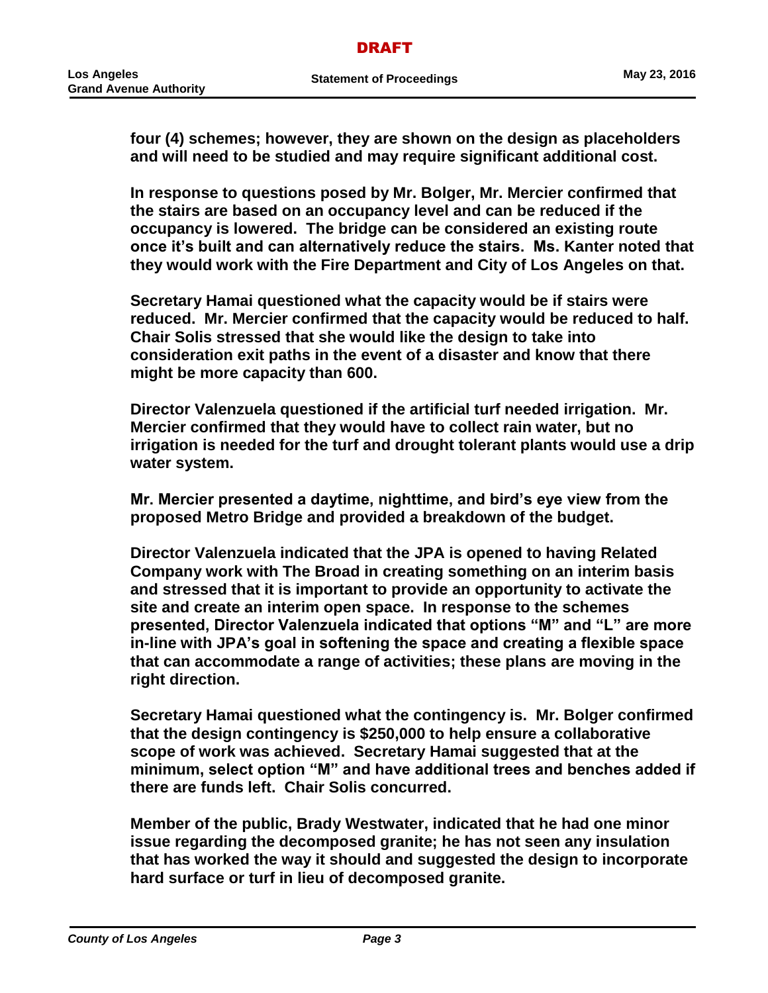**four (4) schemes; however, they are shown on the design as placeholders and will need to be studied and may require significant additional cost.** 

**In response to questions posed by Mr. Bolger, Mr. Mercier confirmed that the stairs are based on an occupancy level and can be reduced if the occupancy is lowered. The bridge can be considered an existing route once it's built and can alternatively reduce the stairs. Ms. Kanter noted that they would work with the Fire Department and City of Los Angeles on that.**

**Secretary Hamai questioned what the capacity would be if stairs were reduced. Mr. Mercier confirmed that the capacity would be reduced to half. Chair Solis stressed that she would like the design to take into consideration exit paths in the event of a disaster and know that there might be more capacity than 600.**

**Director Valenzuela questioned if the artificial turf needed irrigation. Mr. Mercier confirmed that they would have to collect rain water, but no irrigation is needed for the turf and drought tolerant plants would use a drip water system.**

**Mr. Mercier presented a daytime, nighttime, and bird's eye view from the proposed Metro Bridge and provided a breakdown of the budget.**

**Director Valenzuela indicated that the JPA is opened to having Related Company work with The Broad in creating something on an interim basis and stressed that it is important to provide an opportunity to activate the site and create an interim open space. In response to the schemes presented, Director Valenzuela indicated that options "M" and "L" are more in-line with JPA's goal in softening the space and creating a flexible space that can accommodate a range of activities; these plans are moving in the right direction.**

**Secretary Hamai questioned what the contingency is. Mr. Bolger confirmed that the design contingency is \$250,000 to help ensure a collaborative scope of work was achieved. Secretary Hamai suggested that at the minimum, select option "M" and have additional trees and benches added if there are funds left. Chair Solis concurred.** 

**Member of the public, Brady Westwater, indicated that he had one minor issue regarding the decomposed granite; he has not seen any insulation that has worked the way it should and suggested the design to incorporate hard surface or turf in lieu of decomposed granite.**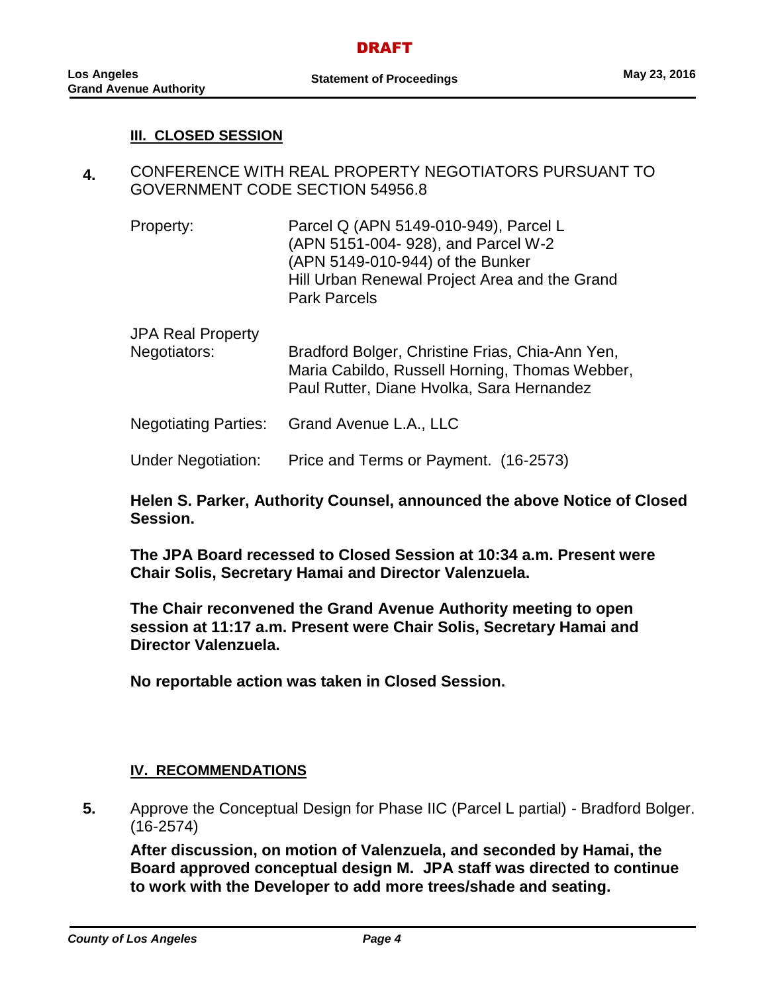### **III. CLOSED SESSION**

- **4.** CONFERENCE WITH REAL PROPERTY NEGOTIATORS PURSUANT TO GOVERNMENT CODE SECTION 54956.8
	- Property: Parcel Q (APN 5149-010-949), Parcel L (APN 5151-004- 928), and Parcel W-2 (APN 5149-010-944) of the Bunker Hill Urban Renewal Project Area and the Grand Park Parcels
	- JPA Real Property Negotiators: Bradford Bolger, Christine Frias, Chia-Ann Yen, Maria Cabildo, Russell Horning, Thomas Webber, Paul Rutter, Diane Hvolka, Sara Hernandez
	- Negotiating Parties: Grand Avenue L.A., LLC
	- Under Negotiation: Price and Terms or Payment. (16-2573)

**Helen S. Parker, Authority Counsel, announced the above Notice of Closed Session.**

**The JPA Board recessed to Closed Session at 10:34 a.m. Present were Chair Solis, Secretary Hamai and Director Valenzuela.**

**The Chair reconvened the Grand Avenue Authority meeting to open session at 11:17 a.m. Present were Chair Solis, Secretary Hamai and Director Valenzuela.**

**No reportable action was taken in Closed Session.**

### **IV. RECOMMENDATIONS**

**5.** Approve the Conceptual Design for Phase IIC (Parcel L partial) - Bradford Bolger. (16-2574)

**After discussion, on motion of Valenzuela, and seconded by Hamai, the Board approved conceptual design M. JPA staff was directed to continue to work with the Developer to add more trees/shade and seating.**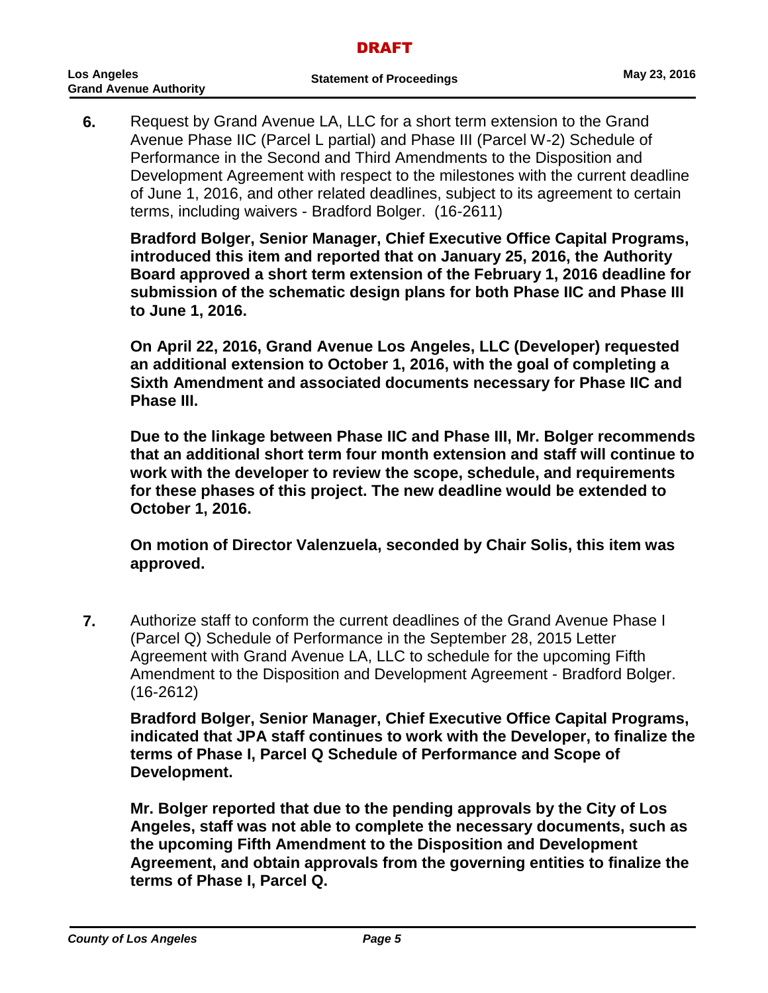**6.** Request by Grand Avenue LA, LLC for a short term extension to the Grand Avenue Phase IIC (Parcel L partial) and Phase III (Parcel W-2) Schedule of Performance in the Second and Third Amendments to the Disposition and Development Agreement with respect to the milestones with the current deadline of June 1, 2016, and other related deadlines, subject to its agreement to certain terms, including waivers - Bradford Bolger. (16-2611)

**Bradford Bolger, Senior Manager, Chief Executive Office Capital Programs, introduced this item and reported that on January 25, 2016, the Authority Board approved a short term extension of the February 1, 2016 deadline for submission of the schematic design plans for both Phase IIC and Phase III to June 1, 2016.**

**On April 22, 2016, Grand Avenue Los Angeles, LLC (Developer) requested an additional extension to October 1, 2016, with the goal of completing a Sixth Amendment and associated documents necessary for Phase IIC and Phase III.**

**Due to the linkage between Phase IIC and Phase III, Mr. Bolger recommends that an additional short term four month extension and staff will continue to work with the developer to review the scope, schedule, and requirements for these phases of this project. The new deadline would be extended to October 1, 2016.** 

**On motion of Director Valenzuela, seconded by Chair Solis, this item was approved.**

**7.** Authorize staff to conform the current deadlines of the Grand Avenue Phase I (Parcel Q) Schedule of Performance in the September 28, 2015 Letter Agreement with Grand Avenue LA, LLC to schedule for the upcoming Fifth Amendment to the Disposition and Development Agreement - Bradford Bolger. (16-2612)

**Bradford Bolger, Senior Manager, Chief Executive Office Capital Programs, indicated that JPA staff continues to work with the Developer, to finalize the terms of Phase I, Parcel Q Schedule of Performance and Scope of Development.**

**Mr. Bolger reported that due to the pending approvals by the City of Los Angeles, staff was not able to complete the necessary documents, such as the upcoming Fifth Amendment to the Disposition and Development Agreement, and obtain approvals from the governing entities to finalize the terms of Phase I, Parcel Q.**